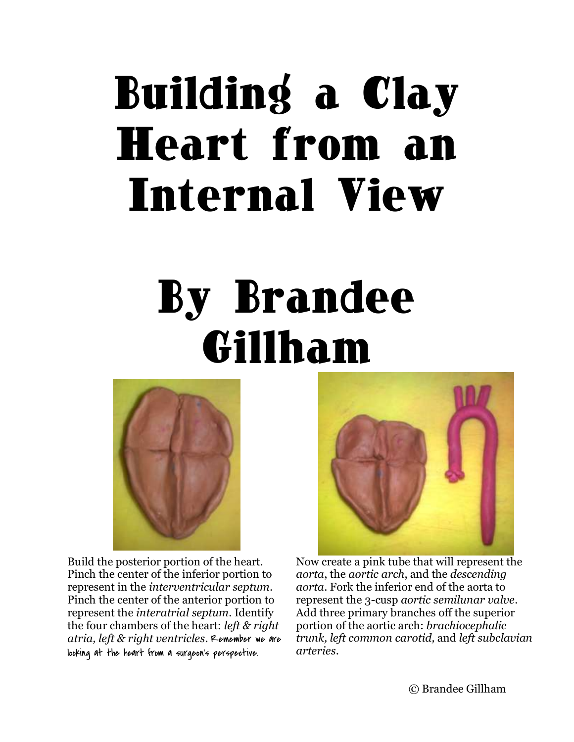## Building a Clay Heart from an Internal View

## By Brandee Gillham



Build the posterior portion of the heart. Pinch the center of the inferior portion to represent in the *interventricular septum*. Pinch the center of the anterior portion to represent the *interatrial septum*. Identify the four chambers of the heart: *left & right atria, left & right ventricles*. Remember we are looking at the heart from a surgeon's perspective.



Now create a pink tube that will represent the *aorta*, the *aortic arch*, and the *descending aorta*. Fork the inferior end of the aorta to represent the 3-cusp *aortic semilunar valve*. Add three primary branches off the superior portion of the aortic arch: *brachiocephalic trunk, left common carotid,* and *left subclavian arteries*.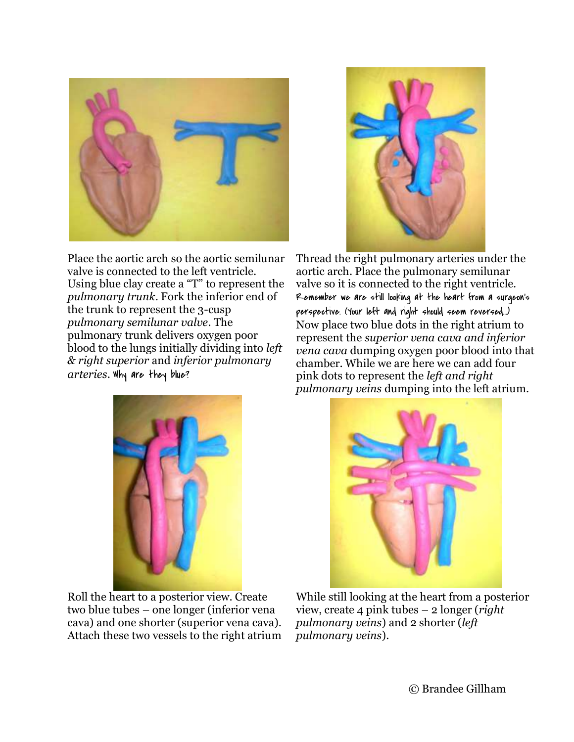

Place the aortic arch so the aortic semilunar valve is connected to the left ventricle. Using blue clay create a "T" to represent the *pulmonary trunk*. Fork the inferior end of the trunk to represent the 3-cusp *pulmonary semilunar valve*. The pulmonary trunk delivers oxygen poor blood to the lungs initially dividing into *left & right superior* and *inferior pulmonary arteries*. Why are they blue?



Thread the right pulmonary arteries under the aortic arch. Place the pulmonary semilunar valve so it is connected to the right ventricle. Remember we are still looking at the heart from a surgeon's perspective. (Your left and right should seem reversed…) Now place two blue dots in the right atrium to represent the *superior vena cava and inferior vena cava* dumping oxygen poor blood into that chamber. While we are here we can add four pink dots to represent the *left and right pulmonary veins* dumping into the left atrium.



Roll the heart to a posterior view. Create two blue tubes – one longer (inferior vena cava) and one shorter (superior vena cava). Attach these two vessels to the right atrium



While still looking at the heart from a posterior view, create 4 pink tubes – 2 longer (*right pulmonary veins*) and 2 shorter (*left pulmonary veins*).